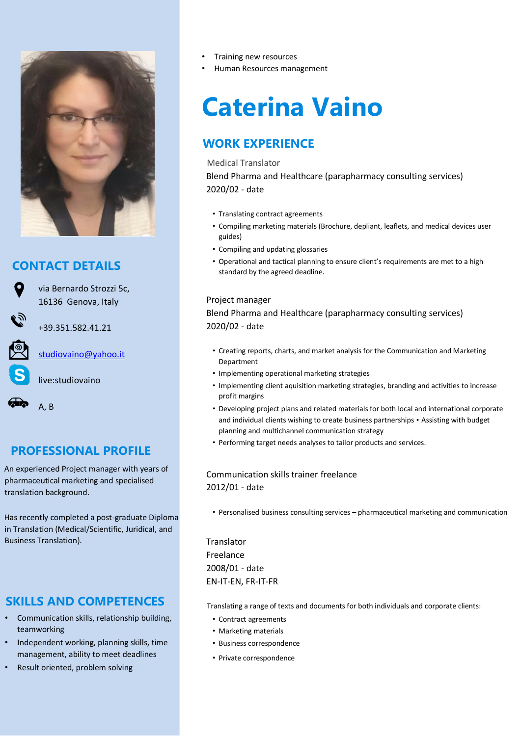

## **CONTACT DETAILS**

via Bernardo Strozzi 5c, 16136 Genova, Italy

studiovaino@yahoo.it

+39.351.582.41.21

live:studiovaino

A, B

# **PROFESSIONAL PROFILE**

An experienced Project manager with years of pharmaceutical marketing and specialised translation background.

Has recently completed a post-graduate Diploma in Translation (Medical/Scientific, Juridical, and Business Translation).

## **SKILLS AND COMPETENCES**

- Communication skills, relationship building, teamworking
- Independent working, planning skills, time management, ability to meet deadlines
- Result oriented, problem solving
- Training new resources
- Human Resources management

# **Caterina Vaino**

# **WORK EXPERIENCE**

#### Medical Translator

Blend Pharma and Healthcare (parapharmacy consulting services) 2020/02 - date

- Translating contract agreements
- Compiling marketing materials (Brochure, depliant, leaflets, and medical devices user guides)
- Compiling and updating glossaries
- Operational and tactical planning to ensure client's requirements are met to a high standard by the agreed deadline.

#### Project manager

Blend Pharma and Healthcare (parapharmacy consulting services) 2020/02 - date

- Creating reports, charts, and market analysis for the Communication and Marketing Department
- Implementing operational marketing strategies
- Implementing client aquisition marketing strategies, branding and activities to increase profit margins
- Developing project plans and related materials for both local and international corporate and individual clients wishing to create business partnerships • Assisting with budget planning and multichannel communication strategy
- Performing target needs analyses to tailor products and services.

### Communication skills trainer freelance 2012/01 - date

• Personalised business consulting services – pharmaceutical marketing and communication

**Translator** Freelance 2008/01 - date EN-IT-EN, FR-IT-FR

Translating a range of texts and documents for both individuals and corporate clients:

- Contract agreements
- Marketing materials
- Business correspondence
- Private correspondence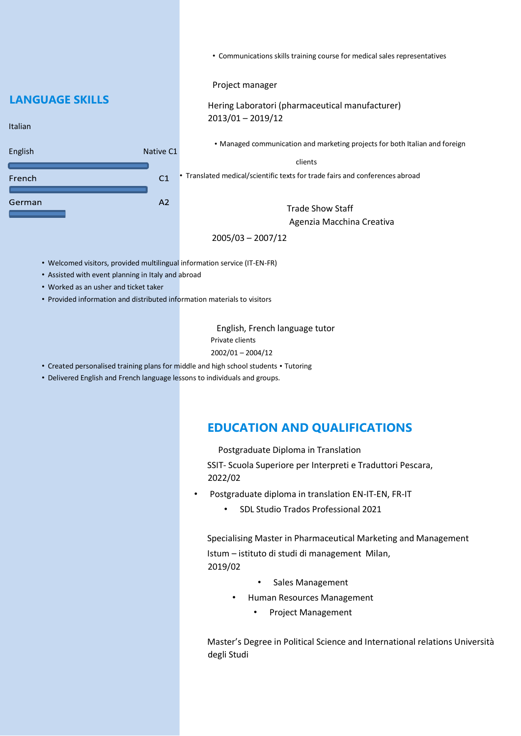• Communications skills training course for medical sales representatives

Project manager

Hering Laboratori (pharmaceutical manufacturer) 2013/01 – 2019/12

• Managed communication and marketing projects for both Italian and foreign

clients

• Translated medical/scientific texts for trade fairs and conferences abroad

Trade Show Staff Agenzia Macchina Creativa

2005/03 – 2007/12

- Welcomed visitors, provided multilingual information service (IT-EN-FR)
- Assisted with event planning in Italy and abroad
- Worked as an usher and ticket taker
- Provided information and distributed information materials to visitors

English, French language tutor Private clients 2002/01 – 2004/12

- Created personalised training plans for middle and high school students Tutoring
- Delivered English and French language lessons to individuals and groups.

## **EDUCATION AND QUALIFICATIONS**

Postgraduate Diploma in Translation

SSIT- Scuola Superiore per Interpreti e Traduttori Pescara, 2022/02

- Postgraduate diploma in translation EN-IT-EN, FR-IT
	- SDL Studio Trados Professional 2021

Specialising Master in Pharmaceutical Marketing and Management Istum – istituto di studi di management Milan, 2019/02

- Sales Management
- Human Resources Management
	- Project Management

Master's Degree in Political Science and International relations Università degli Studi

## **LANGUAGE SKILLS**

Italian

| English | Native C1      |
|---------|----------------|
| French  | C <sub>1</sub> |
| German  | A <sub>2</sub> |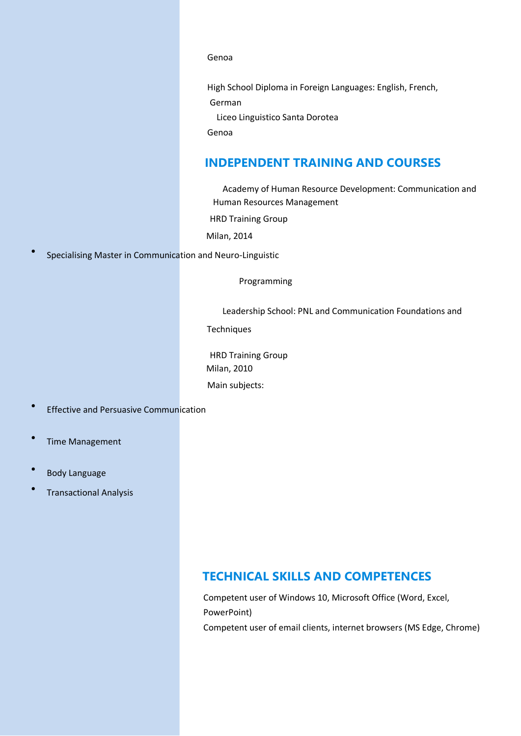Genoa

High School Diploma in Foreign Languages: English, French, German Liceo Linguistico Santa Dorotea

Genoa

## **INDEPENDENT TRAINING AND COURSES**

Academy of Human Resource Development: Communication and Human Resources Management

HRD Training Group

Milan, 2014

• Specialising Master in Communication and Neuro-Linguistic

Programming

Leadership School: PNL and Communication Foundations and

**Techniques** 

HRD Training Group Milan, 2010 Main subjects:

- Effective and Persuasive Communication
- Time Management
- Body Language
- Transactional Analysis

## **TECHNICAL SKILLS AND COMPETENCES**

Competent user of Windows 10, Microsoft Office (Word, Excel, PowerPoint) Competent user of email clients, internet browsers (MS Edge, Chrome)